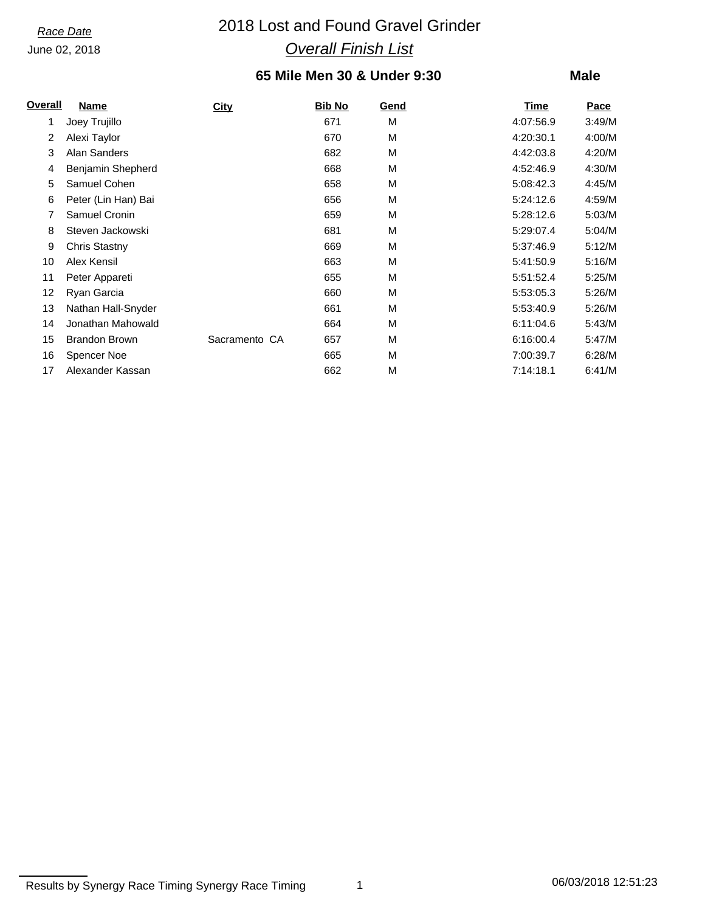# *Race Date* 2018 Lost and Found Gravel Grinder *Overall Finish List*

### **65 Mile Men 30 & Under 9:30**

| <b>Overall</b> | <b>Name</b>          | <b>City</b>   | <b>Bib No</b> | Gend | Time      | Pace   |
|----------------|----------------------|---------------|---------------|------|-----------|--------|
| 1              | Joey Trujillo        |               | 671           | M    | 4:07:56.9 | 3:49/M |
| 2              | Alexi Taylor         |               | 670           | M    | 4:20:30.1 | 4:00/M |
| 3              | Alan Sanders         |               | 682           | M    | 4:42:03.8 | 4:20/M |
| 4              | Benjamin Shepherd    |               | 668           | M    | 4:52:46.9 | 4:30/M |
| 5              | Samuel Cohen         |               | 658           | M    | 5:08:42.3 | 4:45/M |
| 6              | Peter (Lin Han) Bai  |               | 656           | M    | 5:24:12.6 | 4:59/M |
| 7              | Samuel Cronin        |               | 659           | M    | 5:28:12.6 | 5:03/M |
| 8              | Steven Jackowski     |               | 681           | М    | 5:29:07.4 | 5:04/M |
| 9              | <b>Chris Stastny</b> |               | 669           | M    | 5:37:46.9 | 5:12/M |
| 10             | Alex Kensil          |               | 663           | М    | 5:41:50.9 | 5:16/M |
| 11             | Peter Appareti       |               | 655           | M    | 5:51:52.4 | 5:25/M |
| 12             | Ryan Garcia          |               | 660           | M    | 5:53:05.3 | 5:26/M |
| 13             | Nathan Hall-Snyder   |               | 661           | M    | 5:53:40.9 | 5:26/M |
| 14             | Jonathan Mahowald    |               | 664           | M    | 6:11:04.6 | 5:43/M |
| 15             | <b>Brandon Brown</b> | Sacramento CA | 657           | M    | 6:16:00.4 | 5:47/M |
| 16             | Spencer Noe          |               | 665           | M    | 7:00:39.7 | 6:28/M |
| 17             | Alexander Kassan     |               | 662           | M    | 7:14:18.1 | 6:41/M |

Results by Synergy Race Timing Synergy Race Timing 1 1 1 1 26/03/2018 12:51:23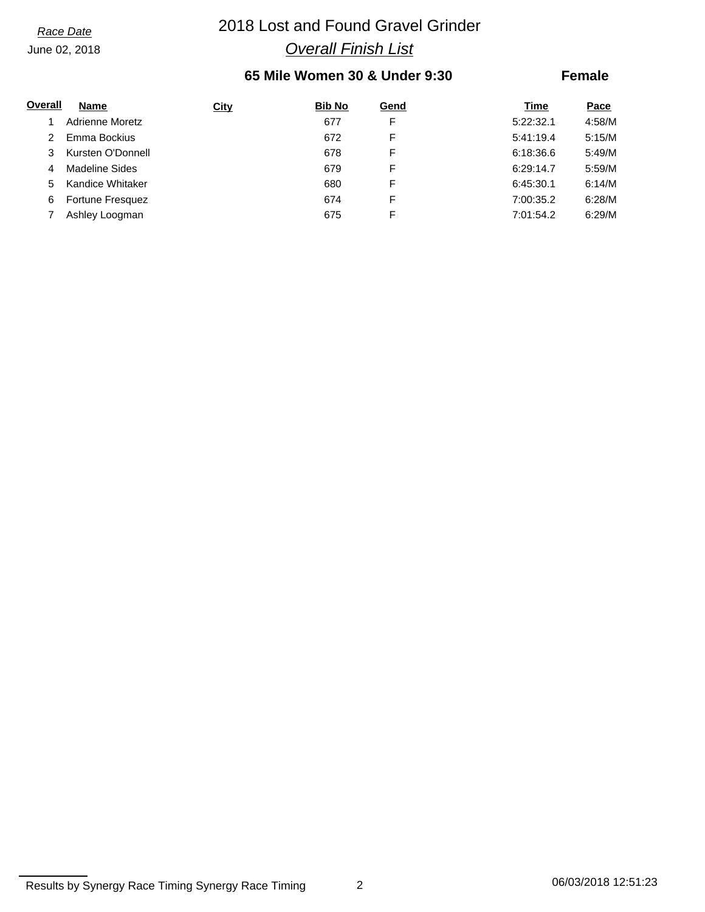# *Race Date* 2018 Lost and Found Gravel Grinder *Overall Finish List*

### **65 Mile Women 30 & Under 9:30**

| Overall | <b>Name</b>             | <b>City</b> | <b>Bib No</b> | Gend | Time      | Pace   |
|---------|-------------------------|-------------|---------------|------|-----------|--------|
|         | Adrienne Moretz         |             | 677           | F    | 5:22:32.1 | 4:58/M |
|         | Emma Bockius            |             | 672           | F    | 5:41:19.4 | 5:15/M |
|         | Kursten O'Donnell       |             | 678           | F    | 6:18:36.6 | 5:49/M |
| 4       | Madeline Sides          |             | 679           | F    | 6:29:14.7 | 5:59/M |
| 5.      | Kandice Whitaker        |             | 680           | F    | 6:45:30.1 | 6:14/M |
| 6       | <b>Fortune Fresquez</b> |             | 674           | F    | 7:00:35.2 | 6:28/M |
|         | Ashley Loogman          |             | 675           |      | 7:01:54.2 | 6:29/M |

Results by Synergy Race Timing Synergy Race Timing 2 2 06/03/2018 12:51:23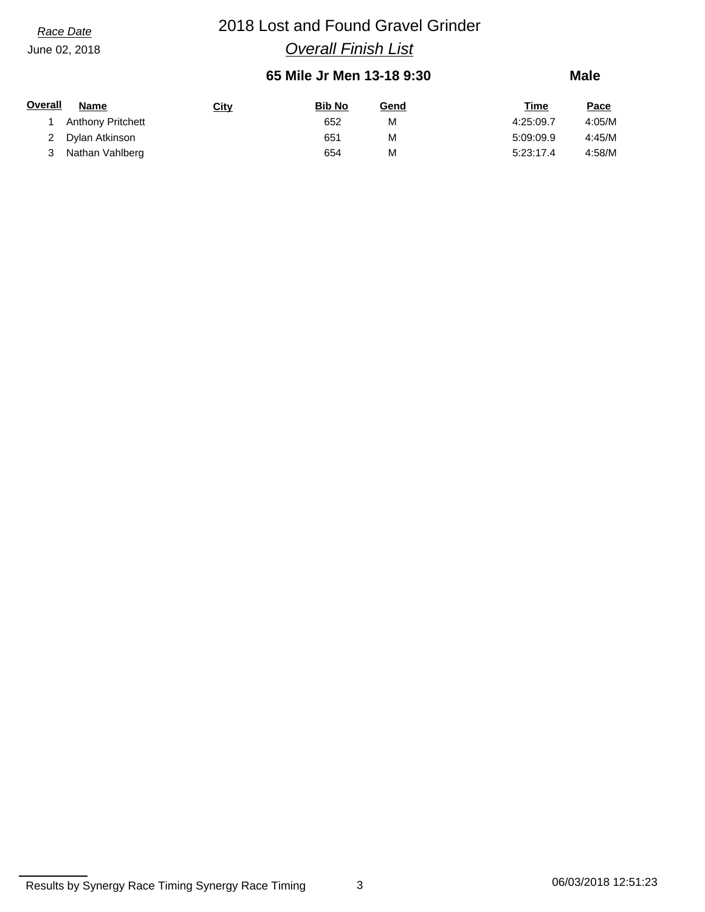# *Race Date* 2018 Lost and Found Gravel Grinder *Overall Finish List*

### **65 Mile Jr Men 13-18 9:30**

| Overall | Name                     | <u>City</u> | <b>Bib No</b> | Gend | Time      | Pace   |
|---------|--------------------------|-------------|---------------|------|-----------|--------|
|         | <b>Anthony Pritchett</b> |             | 652           | М    | 4:25:09.7 | 4:05/M |
| 2       | Dylan Atkinson           |             | 651           | М    | 5:09:09.9 | 4:45/M |
|         | Nathan Vahlberg          |             | 654           | М    | 5:23:17.4 | 4:58/M |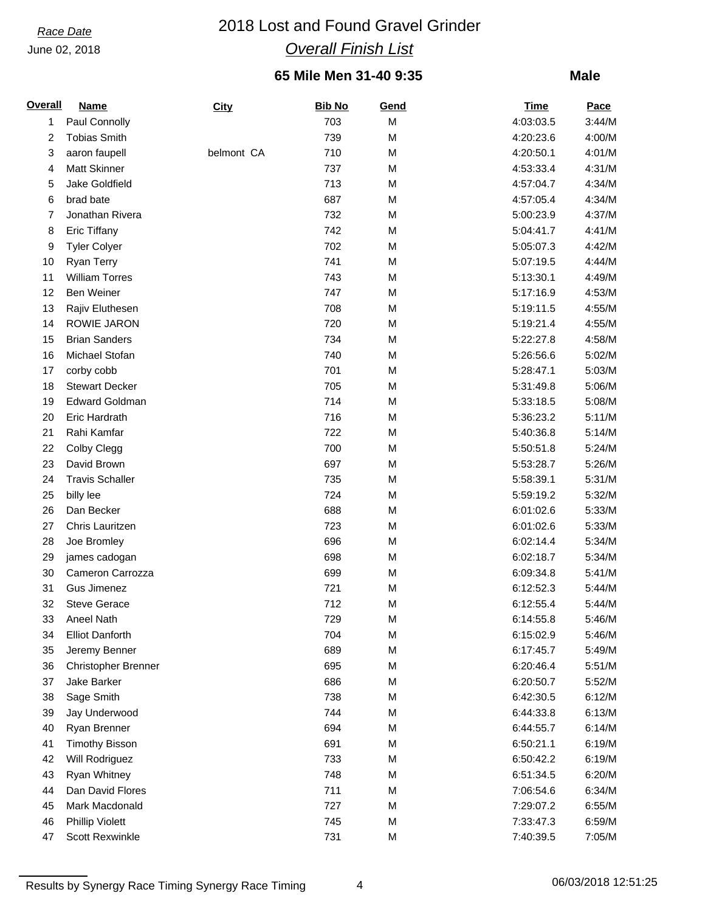# *Race Date* 2018 Lost and Found Gravel Grinder *Overall Finish List*

### **65 Mile Men 31-40 9:35**

### **Male**

| <b>Overall</b> | <b>Name</b>                | City       | <b>Bib No</b> | Gend | <b>Time</b> | <b>Pace</b> |
|----------------|----------------------------|------------|---------------|------|-------------|-------------|
| 1              | Paul Connolly              |            | 703           | M    | 4:03:03.5   | 3:44/M      |
| 2              | <b>Tobias Smith</b>        |            | 739           | М    | 4:20:23.6   | 4:00/M      |
| 3              | aaron faupell              | belmont CA | 710           | M    | 4:20:50.1   | 4:01/M      |
| 4              | <b>Matt Skinner</b>        |            | 737           | М    | 4:53:33.4   | 4:31/M      |
| 5              | Jake Goldfield             |            | 713           | M    | 4:57:04.7   | 4:34/M      |
| 6              | brad bate                  |            | 687           | М    | 4:57:05.4   | 4:34/M      |
| 7              | Jonathan Rivera            |            | 732           | M    | 5:00:23.9   | 4:37/M      |
| 8              | <b>Eric Tiffany</b>        |            | 742           | M    | 5:04:41.7   | 4:41/M      |
| 9              | <b>Tyler Colyer</b>        |            | 702           | M    | 5:05:07.3   | 4:42/M      |
| 10             | <b>Ryan Terry</b>          |            | 741           | М    | 5:07:19.5   | 4:44/M      |
| 11             | <b>William Torres</b>      |            | 743           | M    | 5:13:30.1   | 4:49/M      |
| 12             | <b>Ben Weiner</b>          |            | 747           | M    | 5:17:16.9   | 4:53/M      |
| 13             | Rajiv Eluthesen            |            | 708           | M    | 5:19:11.5   | 4:55/M      |
| 14             | <b>ROWIE JARON</b>         |            | 720           | М    | 5:19:21.4   | 4:55/M      |
| 15             | <b>Brian Sanders</b>       |            | 734           | M    | 5:22:27.8   | 4:58/M      |
| 16             | Michael Stofan             |            | 740           | M    | 5:26:56.6   | 5:02/M      |
| 17             | corby cobb                 |            | 701           | M    | 5:28:47.1   | 5:03/M      |
| 18             | <b>Stewart Decker</b>      |            | 705           | М    | 5:31:49.8   | 5:06/M      |
| 19             | <b>Edward Goldman</b>      |            | 714           | M    | 5:33:18.5   | 5:08/M      |
| 20             | <b>Eric Hardrath</b>       |            | 716           | M    | 5:36:23.2   | 5:11/M      |
| 21             | Rahi Kamfar                |            | 722           | M    | 5:40:36.8   | 5:14/M      |
| 22             | Colby Clegg                |            | 700           | М    | 5:50:51.8   | 5:24/M      |
| 23             | David Brown                |            | 697           | M    | 5:53:28.7   | 5:26/M      |
| 24             | <b>Travis Schaller</b>     |            | 735           | M    | 5:58:39.1   | 5:31/M      |
| 25             |                            |            | 724           | M    | 5:59:19.2   | 5:32/M      |
| 26             | billy lee<br>Dan Becker    |            | 688           |      | 6:01:02.6   | 5:33/M      |
|                |                            |            |               | М    |             |             |
| 27             | Chris Lauritzen            |            | 723           | M    | 6:01:02.6   | 5:33/M      |
| 28             | Joe Bromley                |            | 696           | M    | 6:02:14.4   | 5:34/M      |
| 29             | james cadogan              |            | 698           | M    | 6:02:18.7   | 5:34/M      |
| 30             | Cameron Carrozza           |            | 699           | М    | 6:09:34.8   | 5:41/M      |
| 31             | Gus Jimenez                |            | 721           | M    | 6:12:52.3   | 5:44/M      |
| 32             | <b>Steve Gerace</b>        |            | 712           | M    | 6:12:55.4   | 5:44/M      |
| 33             | Aneel Nath                 |            | 729           | M    | 6:14:55.8   | 5:46/M      |
| 34             | <b>Elliot Danforth</b>     |            | 704           | M    | 6:15:02.9   | 5:46/M      |
| 35             | Jeremy Benner              |            | 689           | M    | 6:17:45.7   | 5:49/M      |
| 36             | <b>Christopher Brenner</b> |            | 695           | М    | 6:20:46.4   | 5:51/M      |
| 37             | Jake Barker                |            | 686           | M    | 6:20:50.7   | 5:52/M      |
| 38             | Sage Smith                 |            | 738           | М    | 6:42:30.5   | 6:12/M      |
| 39             | Jay Underwood              |            | 744           | M    | 6:44:33.8   | 6:13/M      |
| 40             | Ryan Brenner               |            | 694           | M    | 6:44:55.7   | 6:14/M      |
| 41             | <b>Timothy Bisson</b>      |            | 691           | M    | 6:50:21.1   | 6:19/M      |
| 42             | Will Rodriguez             |            | 733           | М    | 6:50:42.2   | 6:19/M      |
| 43             | Ryan Whitney               |            | 748           | M    | 6:51:34.5   | 6:20/M      |
| 44             | Dan David Flores           |            | 711           | M    | 7:06:54.6   | 6:34/M      |
| 45             | Mark Macdonald             |            | 727           | M    | 7:29:07.2   | 6:55/M      |
| 46             | <b>Phillip Violett</b>     |            | 745           | М    | 7:33:47.3   | 6:59/M      |
| 47             | <b>Scott Rexwinkle</b>     |            | 731           | М    | 7:40:39.5   | 7:05/M      |

Results by Synergy Race Timing Synergy Race Timing 4 06/03/2018 12:51:25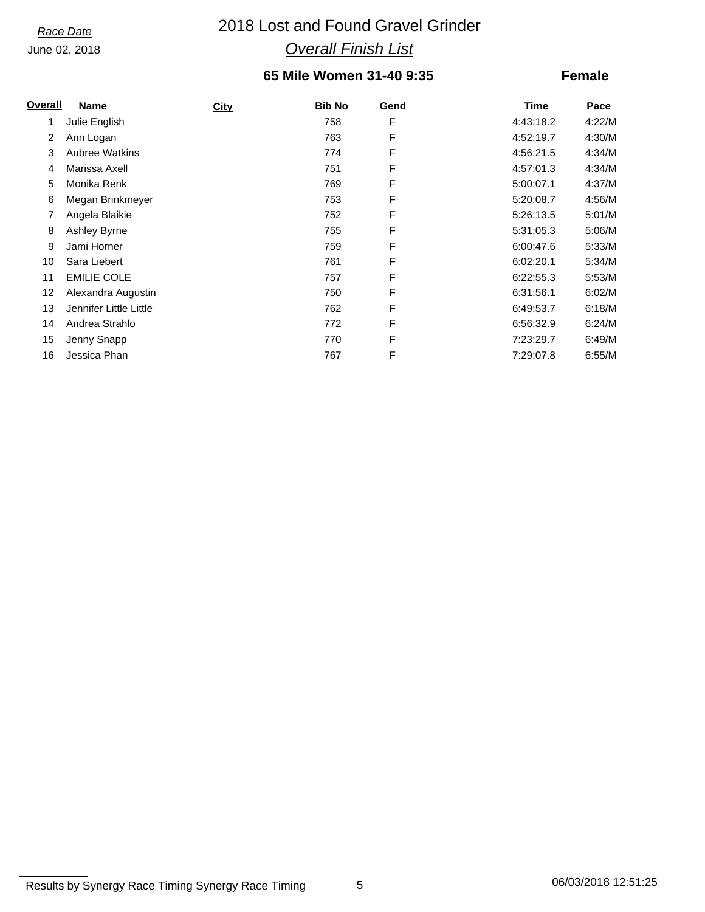# *Race Date* 2018 Lost and Found Gravel Grinder *Overall Finish List*

### **65 Mile Women 31-40 9:35**

| <u>Overall</u> | Name                   | <b>City</b> | <b>Bib No</b> | Gend        | Time      | Pace   |
|----------------|------------------------|-------------|---------------|-------------|-----------|--------|
| 1              | Julie English          |             | 758           | F           | 4:43:18.2 | 4:22/M |
| 2              | Ann Logan              |             | 763           | $\mathsf F$ | 4:52:19.7 | 4:30/M |
| 3              | <b>Aubree Watkins</b>  |             | 774           | F           | 4:56:21.5 | 4:34/M |
| 4              | Marissa Axell          |             | 751           | F           | 4:57:01.3 | 4:34/M |
| 5              | Monika Renk            |             | 769           | F           | 5:00:07.1 | 4:37/M |
| 6              | Megan Brinkmeyer       |             | 753           | F           | 5:20:08.7 | 4:56/M |
| 7              | Angela Blaikie         |             | 752           | F           | 5:26:13.5 | 5:01/M |
| 8              | Ashley Byrne           |             | 755           | F           | 5:31:05.3 | 5:06/M |
| 9              | Jami Horner            |             | 759           | F           | 6:00:47.6 | 5:33/M |
| 10             | Sara Liebert           |             | 761           | F           | 6:02:20.1 | 5:34/M |
| 11             | <b>EMILIE COLE</b>     |             | 757           | F           | 6:22:55.3 | 5:53/M |
| 12             | Alexandra Augustin     |             | 750           | F           | 6:31:56.1 | 6:02/M |
| 13             | Jennifer Little Little |             | 762           | F           | 6:49:53.7 | 6:18/M |
| 14             | Andrea Strahlo         |             | 772           | F           | 6:56:32.9 | 6:24/M |
| 15             | Jenny Snapp            |             | 770           | F           | 7:23:29.7 | 6:49/M |
| 16             | Jessica Phan           |             | 767           | F           | 7:29:07.8 | 6:55/M |

Results by Synergy Race Timing Synergy Race Timing 5 5 06/03/2018 12:51:25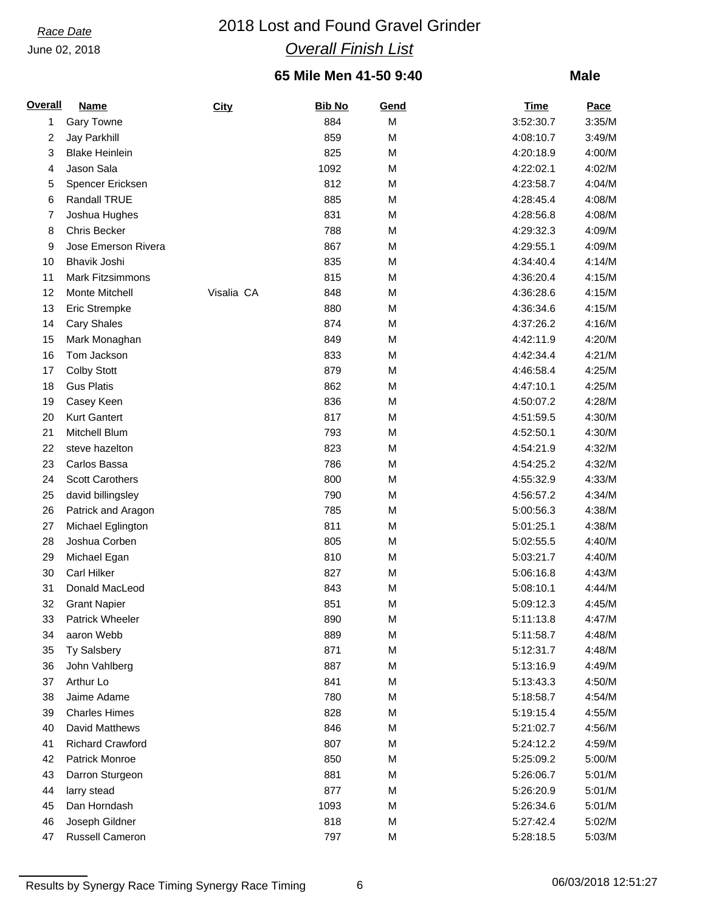# *Race Date* 2018 Lost and Found Gravel Grinder *Overall Finish List*

### **65 Mile Men 41-50 9:40**

### **Male**

| <b>Overall</b> | <b>Name</b>             | <b>City</b> | <b>Bib No</b> | Gend | <b>Time</b> | <b>Pace</b> |
|----------------|-------------------------|-------------|---------------|------|-------------|-------------|
| 1              | <b>Gary Towne</b>       |             | 884           | M    | 3:52:30.7   | 3:35/M      |
| 2              | Jay Parkhill            |             | 859           | M    | 4:08:10.7   | 3:49/M      |
| 3              | <b>Blake Heinlein</b>   |             | 825           | M    | 4:20:18.9   | 4:00/M      |
| 4              | Jason Sala              |             | 1092          | M    | 4:22:02.1   | 4:02/M      |
| 5              | Spencer Ericksen        |             | 812           | M    | 4:23:58.7   | 4:04/M      |
| 6              | Randall TRUE            |             | 885           | M    | 4:28:45.4   | 4:08/M      |
| 7              | Joshua Hughes           |             | 831           | M    | 4:28:56.8   | 4:08/M      |
| 8              | Chris Becker            |             | 788           | M    | 4:29:32.3   | 4:09/M      |
| 9              | Jose Emerson Rivera     |             | 867           | M    | 4:29:55.1   | 4:09/M      |
| 10             | Bhavik Joshi            |             | 835           | М    | 4:34:40.4   | 4:14/M      |
| 11             | <b>Mark Fitzsimmons</b> |             | 815           | M    | 4:36:20.4   | 4:15/M      |
| 12             | Monte Mitchell          | Visalia CA  | 848           | M    | 4:36:28.6   | 4:15/M      |
| 13             | Eric Strempke           |             | 880           | M    | 4:36:34.6   | 4:15/M      |
| 14             | <b>Cary Shales</b>      |             | 874           | M    | 4:37:26.2   | 4:16/M      |
| 15             | Mark Monaghan           |             | 849           | М    | 4:42:11.9   | 4:20/M      |
| 16             | Tom Jackson             |             | 833           | M    | 4:42:34.4   | 4:21/M      |
| 17             | <b>Colby Stott</b>      |             | 879           | М    | 4:46:58.4   | 4:25/M      |
| 18             | <b>Gus Platis</b>       |             | 862           | M    | 4:47:10.1   | 4:25/M      |
| 19             | Casey Keen              |             | 836           | M    | 4:50:07.2   | 4:28/M      |
| 20             | <b>Kurt Gantert</b>     |             | 817           | M    | 4:51:59.5   | 4:30/M      |
| 21             | Mitchell Blum           |             | 793           | M    | 4:52:50.1   | 4:30/M      |
| 22             | steve hazelton          |             | 823           | M    | 4:54:21.9   | 4:32/M      |
| 23             | Carlos Bassa            |             | 786           | M    | 4:54:25.2   | 4:32/M      |
| 24             | Scott Carothers         |             | 800           | M    | 4:55:32.9   | 4:33/M      |
| 25             | david billingsley       |             | 790           | M    | 4:56:57.2   | 4:34/M      |
| 26             | Patrick and Aragon      |             | 785           | М    | 5:00:56.3   | 4:38/M      |
| 27             | Michael Eglington       |             | 811           | M    | 5:01:25.1   | 4:38/M      |
| 28             | Joshua Corben           |             | 805           | M    | 5:02:55.5   | 4:40/M      |
| 29             | Michael Egan            |             | 810           | M    | 5:03:21.7   | 4:40/M      |
| 30             | <b>Carl Hilker</b>      |             | 827           | М    | 5:06:16.8   | 4:43/M      |
| 31             | Donald MacLeod          |             | 843           | М    | 5:08:10.1   | 4:44/M      |
| 32             | <b>Grant Napier</b>     |             | 851           | M    | 5:09:12.3   | 4:45/M      |
| 33             | Patrick Wheeler         |             | 890           | M    | 5:11:13.8   | 4:47/M      |
| 34             | aaron Webb              |             | 889           | М    | 5:11:58.7   | 4:48/M      |
| 35             | <b>Ty Salsbery</b>      |             | 871           | M    | 5:12:31.7   | 4:48/M      |
| 36             | John Vahlberg           |             | 887           | M    | 5:13:16.9   | 4:49/M      |
| 37             | Arthur Lo               |             | 841           | M    | 5:13:43.3   | 4:50/M      |
| 38             | Jaime Adame             |             | 780           | М    | 5:18:58.7   | 4:54/M      |
| 39             | <b>Charles Himes</b>    |             | 828           | M    | 5:19:15.4   | 4:55/M      |
| 40             | David Matthews          |             | 846           | M    | 5:21:02.7   | 4:56/M      |
| 41             | <b>Richard Crawford</b> |             | 807           | M    | 5:24:12.2   | 4:59/M      |
| 42             | Patrick Monroe          |             | 850           | М    | 5:25:09.2   | 5:00/M      |
| 43             | Darron Sturgeon         |             | 881           | M    | 5:26:06.7   | 5:01/M      |
| 44             | larry stead             |             | 877           | M    | 5:26:20.9   | 5:01/M      |
| 45             | Dan Horndash            |             | 1093          | M    | 5:26:34.6   | 5:01/M      |
| 46             | Joseph Gildner          |             | 818           | М    | 5:27:42.4   | 5:02/M      |
| 47             | Russell Cameron         |             | 797           | M    | 5:28:18.5   | 5:03/M      |

Results by Synergy Race Timing Synergy Race Timing 6 06/03/2018 12:51:27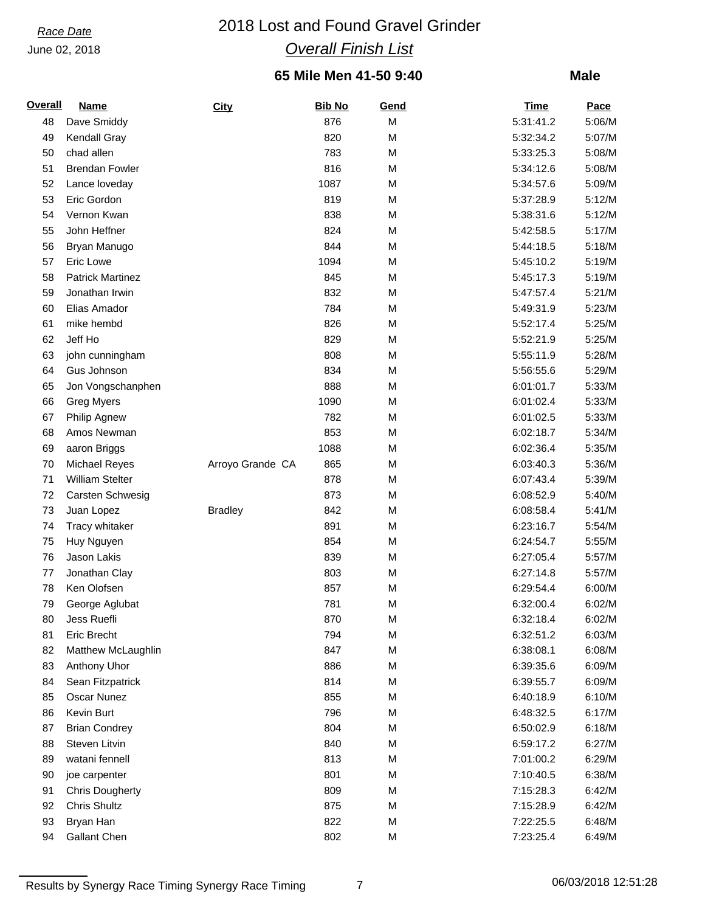# *Race Date* 2018 Lost and Found Gravel Grinder *Overall Finish List*

### **65 Mile Men 41-50 9:40**

### **Male**

| <b>Overall</b> | <b>Name</b>             | <b>City</b>      | <b>Bib No</b> | Gend | <b>Time</b> | <b>Pace</b> |
|----------------|-------------------------|------------------|---------------|------|-------------|-------------|
| 48             | Dave Smiddy             |                  | 876           | M    | 5:31:41.2   | 5:06/M      |
| 49             | Kendall Gray            |                  | 820           | M    | 5:32:34.2   | 5:07/M      |
| 50             | chad allen              |                  | 783           | M    | 5:33:25.3   | 5:08/M      |
| 51             | <b>Brendan Fowler</b>   |                  | 816           | M    | 5:34:12.6   | 5:08/M      |
| 52             | Lance loveday           |                  | 1087          | M    | 5:34:57.6   | 5:09/M      |
| 53             | Eric Gordon             |                  | 819           | M    | 5:37:28.9   | 5:12/M      |
| 54             | Vernon Kwan             |                  | 838           | M    | 5:38:31.6   | 5:12/M      |
| 55             | John Heffner            |                  | 824           | M    | 5:42:58.5   | 5:17/M      |
| 56             | Bryan Manugo            |                  | 844           | M    | 5:44:18.5   | 5:18/M      |
| 57             | Eric Lowe               |                  | 1094          | M    | 5:45:10.2   | 5:19/M      |
| 58             | <b>Patrick Martinez</b> |                  | 845           | M    | 5:45:17.3   | 5:19/M      |
| 59             | Jonathan Irwin          |                  | 832           | M    | 5:47:57.4   | 5:21/M      |
| 60             | Elias Amador            |                  | 784           | M    | 5:49:31.9   | 5:23/M      |
| 61             | mike hembd              |                  | 826           | M    | 5:52:17.4   | 5:25/M      |
| 62             | Jeff Ho                 |                  | 829           | M    | 5:52:21.9   | 5:25/M      |
| 63             | john cunningham         |                  | 808           | M    | 5:55:11.9   | 5:28/M      |
| 64             | Gus Johnson             |                  | 834           | M    | 5:56:55.6   | 5:29/M      |
| 65             | Jon Vongschanphen       |                  | 888           | M    | 6:01:01.7   | 5:33/M      |
| 66             | <b>Greg Myers</b>       |                  | 1090          | M    | 6:01:02.4   | 5:33/M      |
| 67             | Philip Agnew            |                  | 782           | M    | 6:01:02.5   | 5:33/M      |
| 68             | Amos Newman             |                  | 853           | M    | 6:02:18.7   | 5:34/M      |
| 69             | aaron Briggs            |                  | 1088          | M    | 6:02:36.4   | 5:35/M      |
| 70             | Michael Reyes           | Arroyo Grande CA | 865           | M    | 6:03:40.3   | 5:36/M      |
| 71             | <b>William Stelter</b>  |                  | 878           | M    | 6:07:43.4   | 5:39/M      |
| 72             | Carsten Schwesig        |                  | 873           | M    | 6:08:52.9   | 5:40/M      |
| 73             | Juan Lopez              | <b>Bradley</b>   | 842           | M    | 6:08:58.4   | 5:41/M      |
| 74             | Tracy whitaker          |                  | 891           | M    | 6:23:16.7   | 5:54/M      |
| 75             | Huy Nguyen              |                  | 854           | M    | 6:24:54.7   | 5:55/M      |
| 76             | Jason Lakis             |                  | 839           | M    | 6:27:05.4   | 5:57/M      |
| 77             | Jonathan Clay           |                  | 803           | M    | 6:27:14.8   | 5:57/M      |
| 78             | Ken Olofsen             |                  | 857           | M    | 6:29:54.4   | 6:00/M      |
| 79             | George Aglubat          |                  | 781           | M    | 6:32:00.4   | 6:02/M      |
| 80             | Jess Ruefli             |                  | 870           | M    | 6:32:18.4   | 6:02/M      |
| 81             | Eric Brecht             |                  | 794           | M    | 6:32:51.2   | 6:03/M      |
| 82             | Matthew McLaughlin      |                  | 847           | M    | 6:38:08.1   | 6:08/M      |
| 83             | Anthony Uhor            |                  | 886           | M    | 6:39:35.6   | 6:09/M      |
| 84             | Sean Fitzpatrick        |                  | 814           | M    | 6:39:55.7   | 6:09/M      |
| 85             | Oscar Nunez             |                  | 855           | M    | 6:40:18.9   | 6:10/M      |
| 86             | Kevin Burt              |                  | 796           | M    | 6:48:32.5   | 6:17/M      |
| 87             | <b>Brian Condrey</b>    |                  | 804           | M    | 6:50:02.9   | 6:18/M      |
| 88             | Steven Litvin           |                  | 840           | M    | 6:59:17.2   | 6:27/M      |
| 89             | watani fennell          |                  | 813           | M    | 7:01:00.2   | 6:29/M      |
| 90             | joe carpenter           |                  | 801           | M    | 7:10:40.5   | 6:38/M      |
| 91             | <b>Chris Dougherty</b>  |                  | 809           | M    | 7:15:28.3   | 6:42/M      |
| 92             | Chris Shultz            |                  | 875           | M    | 7:15:28.9   | 6:42/M      |
| 93             | Bryan Han               |                  | 822           | M    | 7:22:25.5   | 6:48/M      |
| 94             | Gallant Chen            |                  | 802           | M    | 7:23:25.4   | 6:49/M      |

Results by Synergy Race Timing Synergy Race Timing 7 7 1 26/03/2018 12:51:28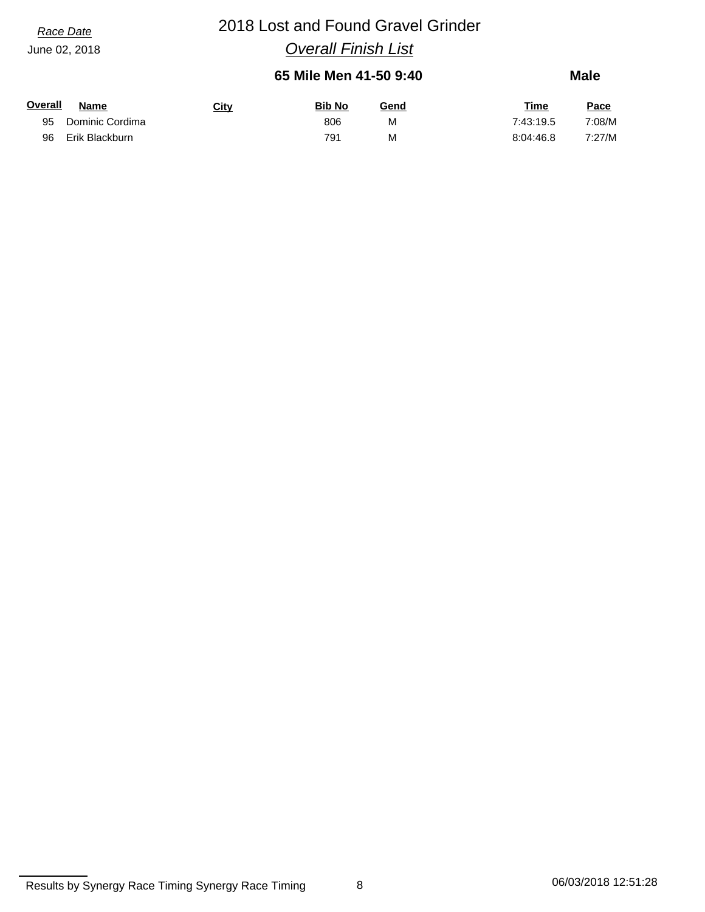# *Race Date* 2018 Lost and Found Gravel Grinder

*Overall Finish List*

### **65 Mile Men 41-50 9:40**

| Overall | Name            | <u>City</u> | <b>Bib No</b> | <u>Gend</u> | <b>Time</b> | <u>Pace</u> |
|---------|-----------------|-------------|---------------|-------------|-------------|-------------|
| 95      | Dominic Cordima |             | 806           | M           | 7:43:19.5   | 7:08/M      |
| 96      | Erik Blackburn  |             | 791           | M           | 8:04:46.8   | 7:27/M      |

Results by Synergy Race Timing Synergy Race Timing 8 8 06/03/2018 12:51:28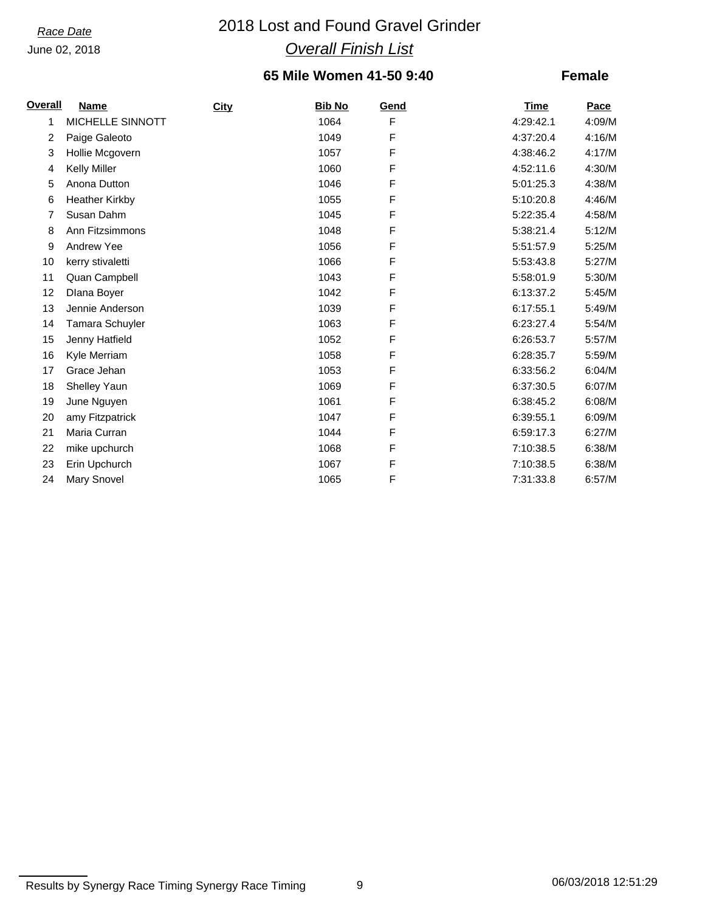# *Race Date* 2018 Lost and Found Gravel Grinder *Overall Finish List*

### **65 Mile Women 41-50 9:40**

| Overall | Name                   | City | <b>Bib No</b> | Gend | <b>Time</b> | Pace   |
|---------|------------------------|------|---------------|------|-------------|--------|
| 1       | MICHELLE SINNOTT       |      | 1064          | F    | 4:29:42.1   | 4:09/M |
| 2       | Paige Galeoto          |      | 1049          | F    | 4:37:20.4   | 4:16/M |
| 3       | Hollie Mcgovern        |      | 1057          | F    | 4:38:46.2   | 4:17/M |
| 4       | <b>Kelly Miller</b>    |      | 1060          | F    | 4:52:11.6   | 4:30/M |
| 5       | Anona Dutton           |      | 1046          | F    | 5:01:25.3   | 4:38/M |
| 6       | <b>Heather Kirkby</b>  |      | 1055          | F    | 5:10:20.8   | 4:46/M |
| 7       | Susan Dahm             |      | 1045          | F    | 5:22:35.4   | 4:58/M |
| 8       | Ann Fitzsimmons        |      | 1048          | F    | 5:38:21.4   | 5:12/M |
| 9       | Andrew Yee             |      | 1056          | F    | 5:51:57.9   | 5:25/M |
| 10      | kerry stivaletti       |      | 1066          | F    | 5:53:43.8   | 5:27/M |
| 11      | Quan Campbell          |      | 1043          | F    | 5:58:01.9   | 5:30/M |
| 12      | Dlana Boyer            |      | 1042          | F    | 6:13:37.2   | 5:45/M |
| 13      | Jennie Anderson        |      | 1039          | F    | 6:17:55.1   | 5:49/M |
| 14      | <b>Tamara Schuyler</b> |      | 1063          | F    | 6:23:27.4   | 5:54/M |
| 15      | Jenny Hatfield         |      | 1052          | F    | 6:26:53.7   | 5:57/M |
| 16      | Kyle Merriam           |      | 1058          | F    | 6:28:35.7   | 5:59/M |
| 17      | Grace Jehan            |      | 1053          | F    | 6:33:56.2   | 6:04/M |
| 18      | <b>Shelley Yaun</b>    |      | 1069          | F    | 6:37:30.5   | 6:07/M |
| 19      | June Nguyen            |      | 1061          | F    | 6:38:45.2   | 6:08/M |
| 20      | amy Fitzpatrick        |      | 1047          | F    | 6:39:55.1   | 6:09/M |
| 21      | Maria Curran           |      | 1044          | F    | 6:59:17.3   | 6:27/M |
| 22      | mike upchurch          |      | 1068          | F    | 7:10:38.5   | 6:38/M |
| 23      | Erin Upchurch          |      | 1067          | F    | 7:10:38.5   | 6:38/M |
| 24      | <b>Mary Snovel</b>     |      | 1065          | F    | 7:31:33.8   | 6:57/M |

Results by Synergy Race Timing Synergy Race Timing 9 06/03/2018 12:51:29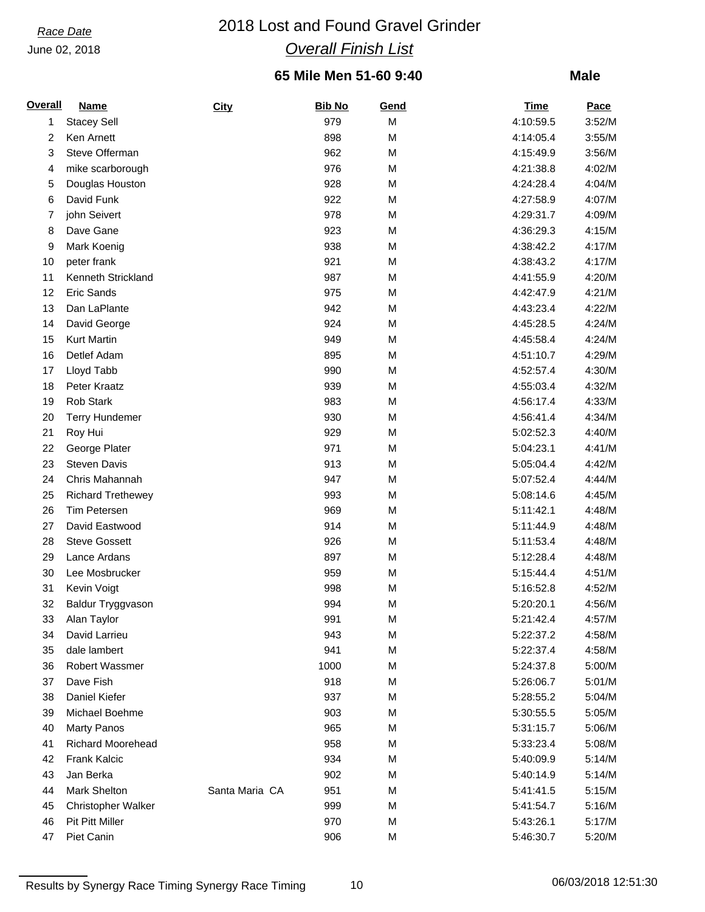# *Race Date* 2018 Lost and Found Gravel Grinder *Overall Finish List*

### **65 Mile Men 51-60 9:40**

### **Male**

| <b>Overall</b> | <u>Name</u>               | <b>City</b>    | <b>Bib No</b> | Gend | <b>Time</b> | <b>Pace</b> |
|----------------|---------------------------|----------------|---------------|------|-------------|-------------|
| 1              | <b>Stacey Sell</b>        |                | 979           | M    | 4:10:59.5   | 3:52/M      |
| 2              | Ken Arnett                |                | 898           | M    | 4:14:05.4   | 3:55/M      |
| 3              | Steve Offerman            |                | 962           | M    | 4:15:49.9   | 3:56/M      |
| 4              | mike scarborough          |                | 976           | M    | 4:21:38.8   | 4:02/M      |
| 5              | Douglas Houston           |                | 928           | M    | 4:24:28.4   | 4:04/M      |
| 6              | David Funk                |                | 922           | M    | 4:27:58.9   | 4:07/M      |
| 7              | john Seivert              |                | 978           | M    | 4:29:31.7   | 4:09/M      |
| 8              | Dave Gane                 |                | 923           | M    | 4:36:29.3   | 4:15/M      |
| 9              | Mark Koenig               |                | 938           | M    | 4:38:42.2   | 4:17/M      |
| 10             | peter frank               |                | 921           | M    | 4:38:43.2   | 4:17/M      |
| 11             | Kenneth Strickland        |                | 987           | M    | 4:41:55.9   | 4:20/M      |
| 12             | Eric Sands                |                | 975           | M    | 4:42:47.9   | 4:21/M      |
| 13             | Dan LaPlante              |                | 942           | M    | 4:43:23.4   | 4:22/M      |
| 14             | David George              |                | 924           | M    | 4:45:28.5   | 4:24/M      |
| 15             | <b>Kurt Martin</b>        |                | 949           | M    | 4:45:58.4   | 4:24/M      |
| 16             | Detlef Adam               |                | 895           | M    | 4:51:10.7   | 4:29/M      |
| 17             | Lloyd Tabb                |                | 990           | M    | 4:52:57.4   | 4:30/M      |
| 18             | Peter Kraatz              |                | 939           | M    | 4:55:03.4   | 4:32/M      |
| 19             | Rob Stark                 |                | 983           | M    | 4:56:17.4   | 4:33/M      |
| 20             | <b>Terry Hundemer</b>     |                | 930           | M    | 4:56:41.4   | 4:34/M      |
| 21             | Roy Hui                   |                | 929           | M    | 5:02:52.3   | 4:40/M      |
| 22             | George Plater             |                | 971           | M    | 5:04:23.1   | 4:41/M      |
| 23             | <b>Steven Davis</b>       |                | 913           | M    | 5:05:04.4   | 4:42/M      |
| 24             | Chris Mahannah            |                | 947           | M    | 5:07:52.4   | 4:44/M      |
| 25             | <b>Richard Trethewey</b>  |                | 993           | M    | 5:08:14.6   | 4:45/M      |
| 26             | <b>Tim Petersen</b>       |                | 969           | M    | 5:11:42.1   | 4:48/M      |
| 27             | David Eastwood            |                | 914           | M    | 5:11:44.9   | 4:48/M      |
| 28             | <b>Steve Gossett</b>      |                | 926           | M    | 5:11:53.4   | 4:48/M      |
| 29             | Lance Ardans              |                | 897           | M    | 5:12:28.4   | 4:48/M      |
| 30             | Lee Mosbrucker            |                | 959           | M    | 5:15:44.4   | 4:51/M      |
| 31             | Kevin Voigt               |                | 998           | M    | 5:16:52.8   | 4:52/M      |
| 32             | Baldur Tryggvason         |                | 994           | M    | 5:20:20.1   | 4:56/M      |
| 33             | Alan Taylor               |                | 991           | M    | 5:21:42.4   | 4:57/M      |
| 34             | David Larrieu             |                | 943           | M    | 5:22:37.2   | 4:58/M      |
| 35             | dale lambert              |                | 941           | M    | 5:22:37.4   | 4:58/M      |
| 36             | <b>Robert Wassmer</b>     |                | 1000          | M    | 5:24:37.8   | 5:00/M      |
| 37             | Dave Fish                 |                | 918           | M    | 5:26:06.7   | 5:01/M      |
| 38             | Daniel Kiefer             |                | 937           | M    | 5:28:55.2   | 5:04/M      |
| 39             | Michael Boehme            |                | 903           | M    | 5:30:55.5   | 5:05/M      |
| 40             | <b>Marty Panos</b>        |                | 965           | M    | 5:31:15.7   | 5:06/M      |
| 41             | <b>Richard Moorehead</b>  |                | 958           | M    | 5:33:23.4   | 5:08/M      |
| 42             | <b>Frank Kalcic</b>       |                | 934           | M    | 5:40:09.9   | 5:14/M      |
| 43             | Jan Berka                 |                | 902           | M    | 5:40:14.9   | 5:14/M      |
| 44             | Mark Shelton              | Santa Maria CA | 951           | M    | 5:41:41.5   | 5:15/M      |
| 45             | <b>Christopher Walker</b> |                | 999           | M    | 5:41:54.7   | 5:16/M      |
| 46             | <b>Pit Pitt Miller</b>    |                | 970           | M    | 5:43:26.1   | 5:17/M      |
| 47             | Piet Canin                |                | 906           | М    | 5:46:30.7   | 5:20/M      |

Results by Synergy Race Timing Synergy Race Timing 10 10 10 06/03/2018 12:51:30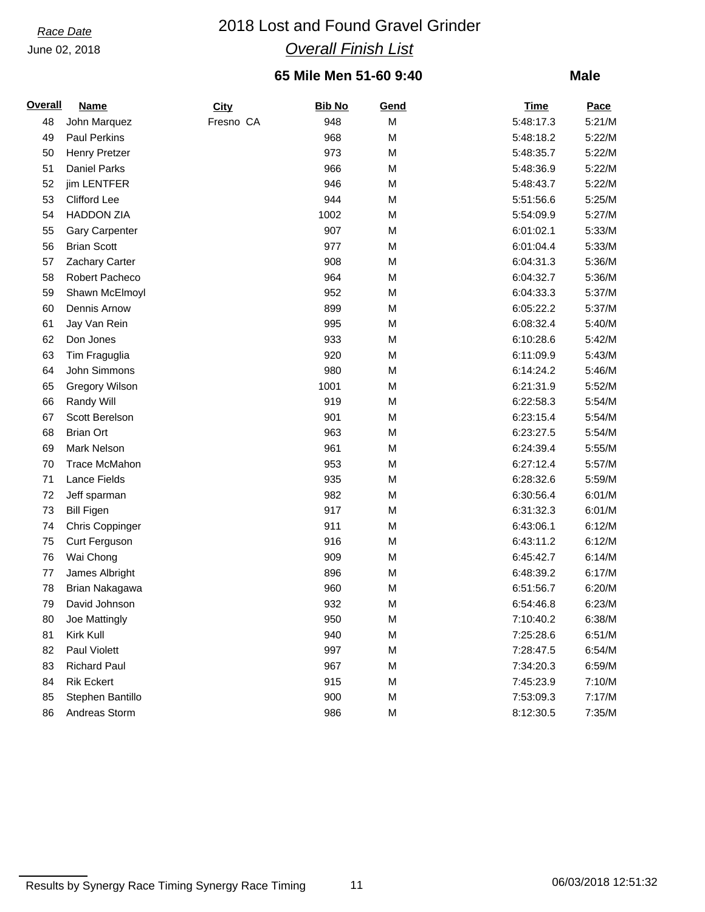# *Race Date* 2018 Lost and Found Gravel Grinder *Overall Finish List*

### **65 Mile Men 51-60 9:40**

| <b>Overall</b> | <b>Name</b>           | City      | <b>Bib No</b> | Gend | <u>Time</u> | Pace   |
|----------------|-----------------------|-----------|---------------|------|-------------|--------|
| 48             | John Marquez          | Fresno CA | 948           | M    | 5:48:17.3   | 5:21/M |
| 49             | <b>Paul Perkins</b>   |           | 968           | M    | 5:48:18.2   | 5:22/M |
| 50             | <b>Henry Pretzer</b>  |           | 973           | M    | 5:48:35.7   | 5:22/M |
| 51             | <b>Daniel Parks</b>   |           | 966           | M    | 5:48:36.9   | 5:22/M |
| 52             | jim LENTFER           |           | 946           | M    | 5:48:43.7   | 5:22/M |
| 53             | <b>Clifford Lee</b>   |           | 944           | M    | 5:51:56.6   | 5:25/M |
| 54             | <b>HADDON ZIA</b>     |           | 1002          | M    | 5:54:09.9   | 5:27/M |
| 55             | <b>Gary Carpenter</b> |           | 907           | M    | 6:01:02.1   | 5:33/M |
| 56             | <b>Brian Scott</b>    |           | 977           | M    | 6:01:04.4   | 5:33/M |
| 57             | Zachary Carter        |           | 908           | M    | 6:04:31.3   | 5:36/M |
| 58             | Robert Pacheco        |           | 964           | M    | 6:04:32.7   | 5:36/M |
| 59             | Shawn McElmoyl        |           | 952           | M    | 6:04:33.3   | 5:37/M |
| 60             | Dennis Arnow          |           | 899           | M    | 6:05:22.2   | 5:37/M |
| 61             | Jay Van Rein          |           | 995           | M    | 6:08:32.4   | 5:40/M |
| 62             | Don Jones             |           | 933           | M    | 6:10:28.6   | 5:42/M |
| 63             | Tim Fraguglia         |           | 920           | M    | 6:11:09.9   | 5:43/M |
| 64             | John Simmons          |           | 980           | M    | 6:14:24.2   | 5:46/M |
| 65             | <b>Gregory Wilson</b> |           | 1001          | M    | 6:21:31.9   | 5:52/M |
| 66             | Randy Will            |           | 919           | M    | 6:22:58.3   | 5:54/M |
| 67             | Scott Berelson        |           | 901           | M    | 6:23:15.4   | 5:54/M |
| 68             | <b>Brian Ort</b>      |           | 963           | M    | 6:23:27.5   | 5:54/M |
| 69             | Mark Nelson           |           | 961           | M    | 6:24:39.4   | 5:55/M |
| 70             | <b>Trace McMahon</b>  |           | 953           | M    | 6:27:12.4   | 5:57/M |
| 71             | Lance Fields          |           | 935           | M    | 6:28:32.6   | 5:59/M |
| 72             | Jeff sparman          |           | 982           | M    | 6:30:56.4   | 6:01/M |
| 73             | <b>Bill Figen</b>     |           | 917           | M    | 6:31:32.3   | 6:01/M |
| 74             | Chris Coppinger       |           | 911           | M    | 6:43:06.1   | 6:12/M |
| 75             | Curt Ferguson         |           | 916           | M    | 6:43:11.2   | 6:12/M |
| 76             | Wai Chong             |           | 909           | M    | 6:45:42.7   | 6:14/M |
| 77             | James Albright        |           | 896           | M    | 6:48:39.2   | 6:17/M |
| 78             | Brian Nakagawa        |           | 960           | M    | 6:51:56.7   | 6:20/M |
| 79             | David Johnson         |           | 932           | M    | 6:54:46.8   | 6:23/M |
| 80             | Joe Mattingly         |           | 950           | M    | 7:10:40.2   | 6:38/M |
| 81             | Kirk Kull             |           | 940           | M    | 7:25:28.6   | 6:51/M |
| 82             | Paul Violett          |           | 997           | M    | 7:28:47.5   | 6:54/M |
| 83             | <b>Richard Paul</b>   |           | 967           | М    | 7:34:20.3   | 6:59/M |
| 84             | <b>Rik Eckert</b>     |           | 915           | M    | 7:45:23.9   | 7:10/M |
| 85             | Stephen Bantillo      |           | 900           | M    | 7:53:09.3   | 7:17/M |
| 86             | Andreas Storm         |           | 986           | М    | 8:12:30.5   | 7:35/M |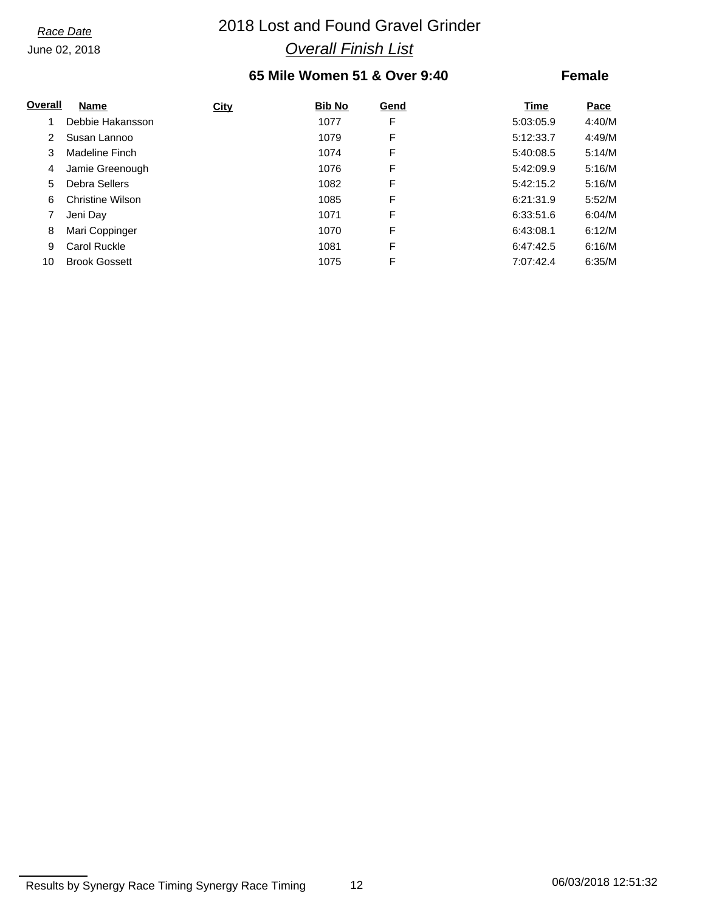# *Race Date* 2018 Lost and Found Gravel Grinder *Overall Finish List*

### **65 Mile Women 51 & Over 9:40**

| Overall              | Name                    | <b>City</b> | <b>Bib No</b> | Gend | Time      | Pace   |
|----------------------|-------------------------|-------------|---------------|------|-----------|--------|
|                      | Debbie Hakansson        |             | 1077          | F    | 5:03:05.9 | 4:40/M |
| $\mathbf{2}^{\circ}$ | Susan Lannoo            |             | 1079          | F    | 5:12:33.7 | 4:49/M |
| 3                    | Madeline Finch          |             | 1074          | F    | 5:40:08.5 | 5:14/M |
| 4                    | Jamie Greenough         |             | 1076          | F    | 5:42:09.9 | 5:16/M |
| 5.                   | Debra Sellers           |             | 1082          | F    | 5:42:15.2 | 5:16/M |
| 6                    | <b>Christine Wilson</b> |             | 1085          | F    | 6:21:31.9 | 5:52/M |
|                      | Jeni Day                |             | 1071          | F    | 6:33:51.6 | 6:04/M |
| 8                    | Mari Coppinger          |             | 1070          | F    | 6:43:08.1 | 6:12/M |
| 9                    | Carol Ruckle            |             | 1081          | F    | 6:47:42.5 | 6:16/M |
| 10                   | <b>Brook Gossett</b>    |             | 1075          | F    | 7:07:42.4 | 6:35/M |

Results by Synergy Race Timing Synergy Race Timing 12 12 12 06/03/2018 12:51:32